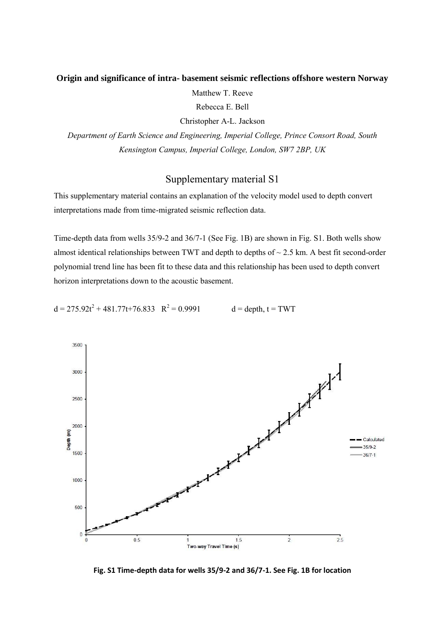## **Origin and significance of intra- basement seismic reflections offshore western Norway**

Matthew T. Reeve

Rebecca E. Bell

Christopher A-L. Jackson

*Department of Earth Science and Engineering, Imperial College, Prince Consort Road, South Kensington Campus, Imperial College, London, SW7 2BP, UK*

## Supplementary material S1

This supplementary material contains an explanation of the velocity model used to depth convert interpretations made from time-migrated seismic reflection data.

Time-depth data from wells 35/9-2 and 36/7-1 (See Fig. 1B) are shown in Fig. S1. Both wells show almost identical relationships between TWT and depth to depths of  $\sim$  2.5 km. A best fit second-order polynomial trend line has been fit to these data and this relationship has been used to depth convert horizon interpretations down to the acoustic basement.

 $d = 275.92t^2 + 481.77t + 76.833$  R<sup>2</sup>  $d =$  depth,  $t = TWT$ 



**Fig. S1 Time-depth data for wells 35/9-2 and 36/7-1. See Fig. 1B for location**